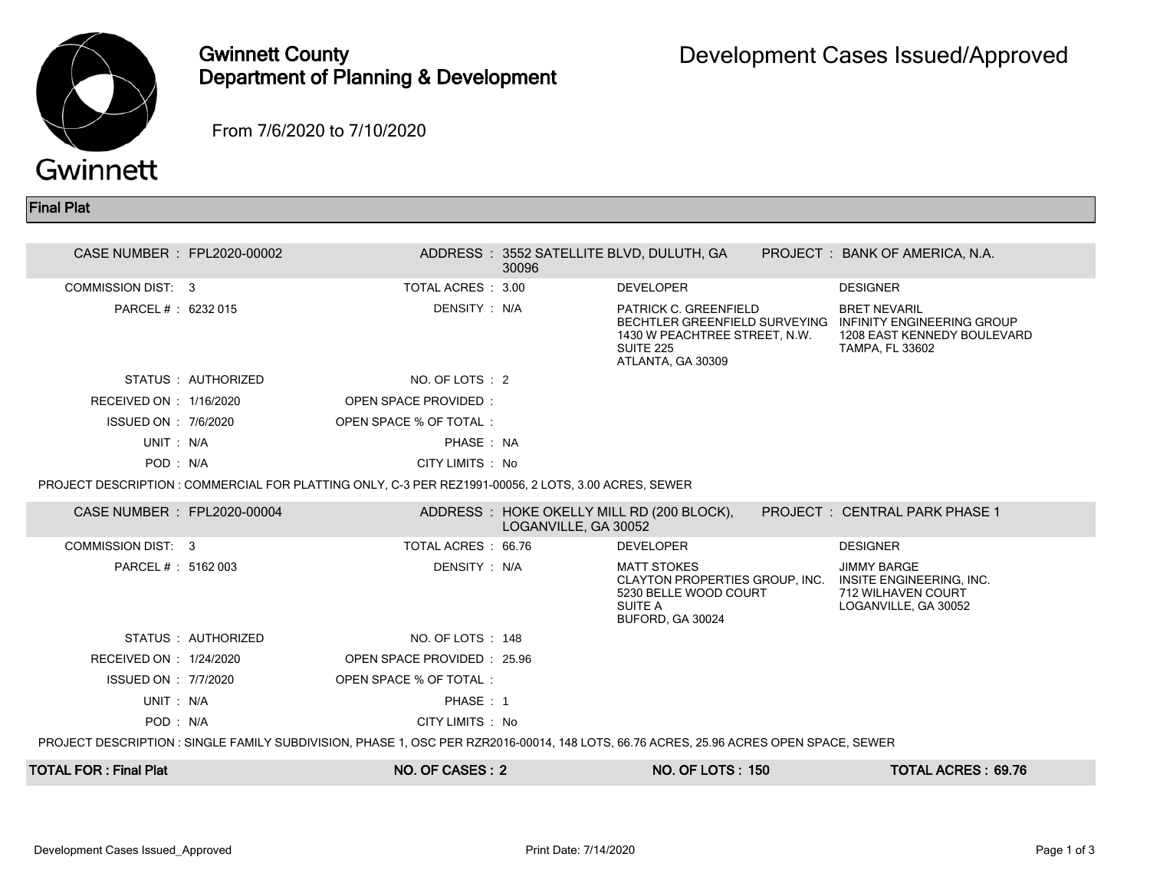

## Gwinnett County Department of Planning & Development

From 7/6/2020 to 7/10/2020

Final Plat

| CASE NUMBER : FPL2020-00002                                                                                                           |                    |                                                                                                      | 30096                | ADDRESS: 3552 SATELLITE BLVD, DULUTH, GA                                                        |  | PROJECT : BANK OF AMERICA, N.A.                                                                                                          |  |
|---------------------------------------------------------------------------------------------------------------------------------------|--------------------|------------------------------------------------------------------------------------------------------|----------------------|-------------------------------------------------------------------------------------------------|--|------------------------------------------------------------------------------------------------------------------------------------------|--|
| <b>COMMISSION DIST: 3</b>                                                                                                             |                    | TOTAL ACRES: 3.00                                                                                    |                      | <b>DEVELOPER</b>                                                                                |  | <b>DESIGNER</b>                                                                                                                          |  |
| PARCEL #: 6232 015                                                                                                                    |                    | DENSITY: N/A                                                                                         |                      | PATRICK C. GREENFIELD<br>1430 W PEACHTREE STREET, N.W.<br><b>SUITE 225</b><br>ATLANTA, GA 30309 |  | <b>BRET NEVARIL</b><br>BECHTLER GREENFIELD SURVEYING INFINITY ENGINEERING GROUP<br>1208 EAST KENNEDY BOULEVARD<br><b>TAMPA, FL 33602</b> |  |
|                                                                                                                                       | STATUS: AUTHORIZED | NO. OF LOTS : 2                                                                                      |                      |                                                                                                 |  |                                                                                                                                          |  |
| RECEIVED ON : 1/16/2020                                                                                                               |                    | OPEN SPACE PROVIDED:                                                                                 |                      |                                                                                                 |  |                                                                                                                                          |  |
| ISSUED ON : 7/6/2020                                                                                                                  |                    | OPEN SPACE % OF TOTAL:                                                                               |                      |                                                                                                 |  |                                                                                                                                          |  |
| UNIT: N/A                                                                                                                             |                    | PHASE: NA                                                                                            |                      |                                                                                                 |  |                                                                                                                                          |  |
| POD: N/A                                                                                                                              |                    | CITY LIMITS : No                                                                                     |                      |                                                                                                 |  |                                                                                                                                          |  |
|                                                                                                                                       |                    | PROJECT DESCRIPTION : COMMERCIAL FOR PLATTING ONLY, C-3 PER REZ1991-00056, 2 LOTS, 3.00 ACRES, SEWER |                      |                                                                                                 |  |                                                                                                                                          |  |
| CASE NUMBER : FPL2020-00004                                                                                                           |                    |                                                                                                      | LOGANVILLE, GA 30052 | ADDRESS: HOKE OKELLY MILL RD (200 BLOCK),                                                       |  | PROJECT: CENTRAL PARK PHASE 1                                                                                                            |  |
| COMMISSION DIST: 3                                                                                                                    |                    | TOTAL ACRES: 66.76                                                                                   |                      | <b>DEVELOPER</b>                                                                                |  | <b>DESIGNER</b>                                                                                                                          |  |
| PARCEL #: 5162 003                                                                                                                    |                    | DENSITY: N/A                                                                                         |                      | <b>MATT STOKES</b><br>5230 BELLE WOOD COURT<br>SUITE A<br>BUFORD, GA 30024                      |  | <b>JIMMY BARGE</b><br>CLAYTON PROPERTIES GROUP, INC. INSITE ENGINEERING, INC.<br>712 WILHAVEN COURT<br>LOGANVILLE, GA 30052              |  |
|                                                                                                                                       | STATUS: AUTHORIZED | NO. OF LOTS: 148                                                                                     |                      |                                                                                                 |  |                                                                                                                                          |  |
| RECEIVED ON : 1/24/2020                                                                                                               |                    | OPEN SPACE PROVIDED : 25.96                                                                          |                      |                                                                                                 |  |                                                                                                                                          |  |
| ISSUED ON : 7/7/2020                                                                                                                  |                    | OPEN SPACE % OF TOTAL:                                                                               |                      |                                                                                                 |  |                                                                                                                                          |  |
| UNIT: N/A                                                                                                                             |                    | PHASE: 1                                                                                             |                      |                                                                                                 |  |                                                                                                                                          |  |
| POD: N/A                                                                                                                              |                    | CITY LIMITS : No                                                                                     |                      |                                                                                                 |  |                                                                                                                                          |  |
| PROJECT DESCRIPTION : SINGLE FAMILY SUBDIVISION, PHASE 1, OSC PER RZR2016-00014, 148 LOTS, 66.76 ACRES, 25.96 ACRES OPEN SPACE, SEWER |                    |                                                                                                      |                      |                                                                                                 |  |                                                                                                                                          |  |
| TOTAL FOR : Final Plat                                                                                                                |                    | NO. OF CASES: 2                                                                                      |                      | <b>NO. OF LOTS: 150</b>                                                                         |  | <b>TOTAL ACRES: 69.76</b>                                                                                                                |  |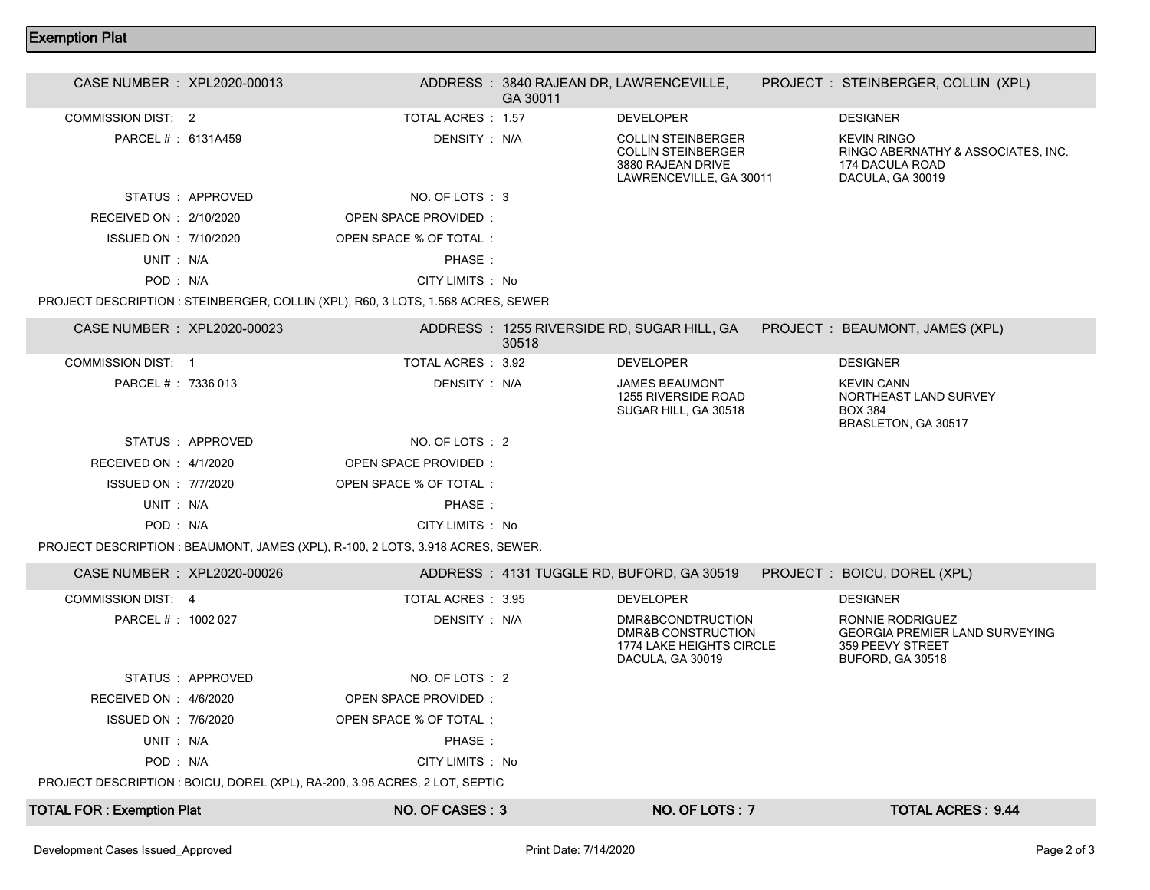## Exemption Plat

| CASE NUMBER : XPL2020-00013                                                      |                 |                        | GA 30011 | ADDRESS: 3840 RAJEAN DR, LAWRENCEVILLE,                                                                |  | PROJECT : STEINBERGER, COLLIN (XPL)                                                             |  |
|----------------------------------------------------------------------------------|-----------------|------------------------|----------|--------------------------------------------------------------------------------------------------------|--|-------------------------------------------------------------------------------------------------|--|
| COMMISSION DIST: 2                                                               |                 | TOTAL ACRES : 1.57     |          | <b>DEVELOPER</b>                                                                                       |  | <b>DESIGNER</b>                                                                                 |  |
| PARCEL # : 6131A459                                                              |                 | DENSITY : N/A          |          | <b>COLLIN STEINBERGER</b><br><b>COLLIN STEINBERGER</b><br>3880 RAJEAN DRIVE<br>LAWRENCEVILLE, GA 30011 |  | <b>KEVIN RINGO</b><br>RINGO ABERNATHY & ASSOCIATES, INC.<br>174 DACULA ROAD<br>DACULA, GA 30019 |  |
|                                                                                  | STATUS APPROVED | NO. OF LOTS : 3        |          |                                                                                                        |  |                                                                                                 |  |
| RECEIVED ON : 2/10/2020                                                          |                 | OPEN SPACE PROVIDED:   |          |                                                                                                        |  |                                                                                                 |  |
| ISSUED ON : 7/10/2020                                                            |                 | OPEN SPACE % OF TOTAL: |          |                                                                                                        |  |                                                                                                 |  |
| UNIT : N/A                                                                       |                 | PHASE:                 |          |                                                                                                        |  |                                                                                                 |  |
| POD: N/A                                                                         |                 | CITY LIMITS : No       |          |                                                                                                        |  |                                                                                                 |  |
| PROJECT DESCRIPTION : STEINBERGER, COLLIN (XPL), R60, 3 LOTS, 1.568 ACRES, SEWER |                 |                        |          |                                                                                                        |  |                                                                                                 |  |
| CASE NUMBER : XPL2020-00023                                                      |                 |                        | 30518    | ADDRESS: 1255 RIVERSIDE RD, SUGAR HILL, GA                                                             |  | PROJECT : BEAUMONT, JAMES (XPL)                                                                 |  |

|                             |                   |                                                                                 | 30518 |                                                                                         |                                                                                                          |
|-----------------------------|-------------------|---------------------------------------------------------------------------------|-------|-----------------------------------------------------------------------------------------|----------------------------------------------------------------------------------------------------------|
| COMMISSION DIST 1           |                   | TOTAL ACRES : 3.92                                                              |       | <b>DEVELOPER</b>                                                                        | <b>DESIGNER</b>                                                                                          |
| PARCEL #: 7336 013          |                   | DENSITY : N/A                                                                   |       | <b>JAMES BEAUMONT</b><br>1255 RIVERSIDE ROAD<br>SUGAR HILL, GA 30518                    | <b>KEVIN CANN</b><br>NORTHEAST LAND SURVEY<br><b>BOX 384</b><br>BRASLETON, GA 30517                      |
|                             | STATUS : APPROVED | NO. OF LOTS : 2                                                                 |       |                                                                                         |                                                                                                          |
| RECEIVED ON : 4/1/2020      |                   | OPEN SPACE PROVIDED:                                                            |       |                                                                                         |                                                                                                          |
| ISSUED ON : 7/7/2020        |                   | OPEN SPACE % OF TOTAL:                                                          |       |                                                                                         |                                                                                                          |
| UNIT: N/A                   |                   | PHASE:                                                                          |       |                                                                                         |                                                                                                          |
| POD: N/A                    |                   | CITY LIMITS : No                                                                |       |                                                                                         |                                                                                                          |
|                             |                   | PROJECT DESCRIPTION : BEAUMONT, JAMES (XPL), R-100, 2 LOTS, 3.918 ACRES, SEWER. |       |                                                                                         |                                                                                                          |
| CASE NUMBER : XPL2020-00026 |                   |                                                                                 |       | ADDRESS: 4131 TUGGLE RD, BUFORD, GA 30519                                               | PROJECT : BOICU, DOREL (XPL)                                                                             |
| COMMISSION DIST: 4          |                   | TOTAL ACRES : 3.95                                                              |       | <b>DEVELOPER</b>                                                                        | <b>DESIGNER</b>                                                                                          |
| PARCEL #: 1002 027          |                   | DENSITY : N/A                                                                   |       | DMR&BCONDTRUCTION<br>DMR&B CONSTRUCTION<br>1774 LAKE HEIGHTS CIRCLE<br>DACULA, GA 30019 | RONNIE RODRIGUEZ<br><b>GEORGIA PREMIER LAND SURVEYING</b><br>359 PEEVY STREET<br><b>BUFORD, GA 30518</b> |
|                             | STATUS : APPROVED | NO. OF LOTS : 2                                                                 |       |                                                                                         |                                                                                                          |
| RECEIVED ON : 4/6/2020      |                   | <b>OPEN SPACE PROVIDED:</b>                                                     |       |                                                                                         |                                                                                                          |
| ISSUED ON : 7/6/2020        |                   | OPEN SPACE % OF TOTAL:                                                          |       |                                                                                         |                                                                                                          |
| UNIT: N/A                   |                   | PHASE:                                                                          |       |                                                                                         |                                                                                                          |

POD : N/A CITY LIMITS : No

PROJECT DESCRIPTION : BOICU, DOREL (XPL), RA-200, 3.95 ACRES, 2 LOT, SEPTIC

| <b>TOTAL FOR: Exemption Plat</b>  | NO. OF CASES : 3      | <b>NO. OF LOTS: 7</b> | TOTAL ACRES : $9.44$ |
|-----------------------------------|-----------------------|-----------------------|----------------------|
| Development Cases Issued Approved | Print Date: 7/14/2020 |                       | Page 2 of 3          |